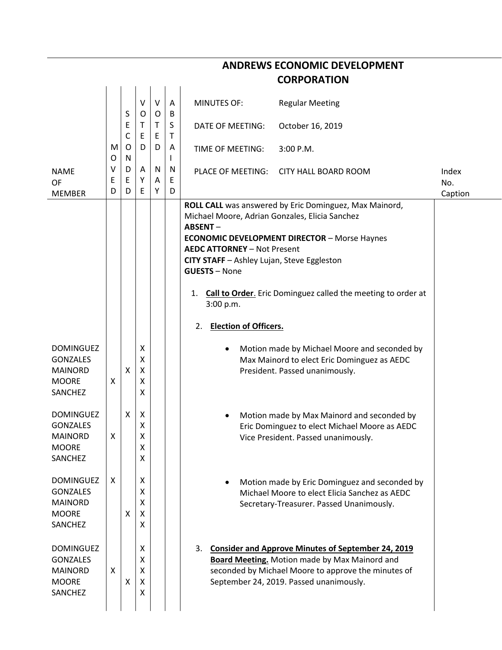| <b>ANDREWS ECONOMIC DEVELOPMENT</b>                                              |             |                   |                       |                   |                   |                                                                                                                                                                                                                                                                                                                                                                                                                        |              |  |  |  |
|----------------------------------------------------------------------------------|-------------|-------------------|-----------------------|-------------------|-------------------|------------------------------------------------------------------------------------------------------------------------------------------------------------------------------------------------------------------------------------------------------------------------------------------------------------------------------------------------------------------------------------------------------------------------|--------------|--|--|--|
| <b>CORPORATION</b>                                                               |             |                   |                       |                   |                   |                                                                                                                                                                                                                                                                                                                                                                                                                        |              |  |  |  |
|                                                                                  |             | S                 | V<br>O                | $\vee$<br>$\circ$ | $\mathsf{A}$<br>B | <b>MINUTES OF:</b><br><b>Regular Meeting</b>                                                                                                                                                                                                                                                                                                                                                                           |              |  |  |  |
|                                                                                  |             | Ε<br>$\mathsf{C}$ | Τ<br>Ε                | $\mathsf{T}$<br>E | S<br>Τ            | October 16, 2019<br>DATE OF MEETING:                                                                                                                                                                                                                                                                                                                                                                                   |              |  |  |  |
|                                                                                  | M<br>O      | O<br>N            | D                     | D                 | A<br>$\mathsf{L}$ | 3:00 P.M.<br>TIME OF MEETING:                                                                                                                                                                                                                                                                                                                                                                                          |              |  |  |  |
| <b>NAME</b><br>OF<br><b>MEMBER</b>                                               | ٧<br>Ε<br>D | D<br>E<br>D       | A<br>Y<br>Ε           | N<br>A<br>Υ       | N<br>E<br>D       | PLACE OF MEETING:<br><b>CITY HALL BOARD ROOM</b>                                                                                                                                                                                                                                                                                                                                                                       | Index<br>No. |  |  |  |
|                                                                                  |             |                   |                       |                   |                   | ROLL CALL was answered by Eric Dominguez, Max Mainord,<br>Michael Moore, Adrian Gonzales, Elicia Sanchez<br><b>ABSENT-</b><br><b>ECONOMIC DEVELOPMENT DIRECTOR - Morse Haynes</b><br><b>AEDC ATTORNEY - Not Present</b><br>CITY STAFF - Ashley Lujan, Steve Eggleston<br><b>GUESTS - None</b><br>Call to Order. Eric Dominguez called the meeting to order at<br>1.<br>3:00 p.m.<br><b>Election of Officers.</b><br>2. | Caption      |  |  |  |
| <b>DOMINGUEZ</b><br><b>GONZALES</b><br><b>MAINORD</b><br><b>MOORE</b><br>SANCHEZ | X           | X                 | X<br>X<br>X<br>Χ<br>X |                   |                   | Motion made by Michael Moore and seconded by<br>Max Mainord to elect Eric Dominguez as AEDC<br>President. Passed unanimously.                                                                                                                                                                                                                                                                                          |              |  |  |  |
| <b>DOMINGUEZ</b><br>GONZALES<br><b>MAINORD</b><br><b>MOORE</b><br>SANCHEZ        | X           | Χ                 | Χ<br>X<br>X<br>X<br>X |                   |                   | Motion made by Max Mainord and seconded by<br>Eric Dominguez to elect Michael Moore as AEDC<br>Vice President. Passed unanimously.                                                                                                                                                                                                                                                                                     |              |  |  |  |
| <b>DOMINGUEZ</b><br><b>GONZALES</b><br><b>MAINORD</b><br><b>MOORE</b><br>SANCHEZ | X           | X                 | X<br>X<br>X<br>X<br>X |                   |                   | Motion made by Eric Dominguez and seconded by<br>$\bullet$<br>Michael Moore to elect Elicia Sanchez as AEDC<br>Secretary-Treasurer. Passed Unanimously.                                                                                                                                                                                                                                                                |              |  |  |  |
| <b>DOMINGUEZ</b><br><b>GONZALES</b><br><b>MAINORD</b><br><b>MOORE</b><br>SANCHEZ | X           | X                 | X<br>X<br>X<br>X<br>X |                   |                   | 3. Consider and Approve Minutes of September 24, 2019<br><b>Board Meeting.</b> Motion made by Max Mainord and<br>seconded by Michael Moore to approve the minutes of<br>September 24, 2019. Passed unanimously.                                                                                                                                                                                                        |              |  |  |  |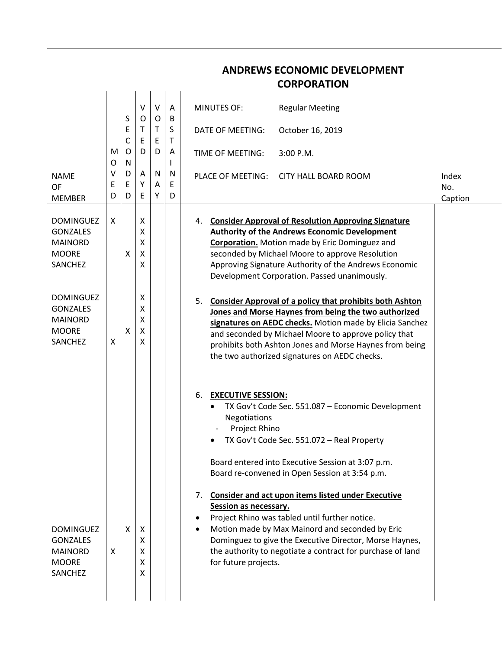|                                                                                  |             |                           |                        |             |             | <b>CURPURATIUN</b>                                                                                                                                                                                                                                                                                                                                            |                         |
|----------------------------------------------------------------------------------|-------------|---------------------------|------------------------|-------------|-------------|---------------------------------------------------------------------------------------------------------------------------------------------------------------------------------------------------------------------------------------------------------------------------------------------------------------------------------------------------------------|-------------------------|
|                                                                                  |             | S                         | $\vee$<br>$\mathsf{O}$ | $\vee$<br>O | Α<br>B      | <b>Regular Meeting</b><br><b>MINUTES OF:</b>                                                                                                                                                                                                                                                                                                                  |                         |
|                                                                                  |             | E<br>C                    | Τ<br>E                 | T<br>Ε      | S<br>Τ      | October 16, 2019<br>DATE OF MEETING:                                                                                                                                                                                                                                                                                                                          |                         |
|                                                                                  | M<br>O      | $\mathsf{O}$<br>${\sf N}$ | D                      | D           | Α<br>I.     | TIME OF MEETING:<br>$3:00$ P.M.                                                                                                                                                                                                                                                                                                                               |                         |
| <b>NAME</b><br>OF<br><b>MEMBER</b>                                               | ٧<br>Ε<br>D | D<br>Е<br>D               | A<br>Υ<br>E            | N<br>Α<br>Υ | N<br>E<br>D | <b>PLACE OF MEETING:</b><br>CITY HALL BOARD ROOM                                                                                                                                                                                                                                                                                                              | Index<br>No.<br>Caption |
| <b>DOMINGUEZ</b><br><b>GONZALES</b><br><b>MAINORD</b><br><b>MOORE</b><br>SANCHEZ | X           | X                         | X<br>X<br>Χ<br>X<br>X  |             |             | <b>Consider Approval of Resolution Approving Signature</b><br>4.<br><b>Authority of the Andrews Economic Development</b><br><b>Corporation.</b> Motion made by Eric Dominguez and<br>seconded by Michael Moore to approve Resolution<br>Approving Signature Authority of the Andrews Economic<br>Development Corporation. Passed unanimously.                 |                         |
| <b>DOMINGUEZ</b><br><b>GONZALES</b><br><b>MAINORD</b><br><b>MOORE</b><br>SANCHEZ | х           | X                         | X<br>X<br>Χ<br>X<br>X  |             |             | <b>Consider Approval of a policy that prohibits both Ashton</b><br>5.<br>Jones and Morse Haynes from being the two authorized<br>signatures on AEDC checks. Motion made by Elicia Sanchez<br>and seconded by Michael Moore to approve policy that<br>prohibits both Ashton Jones and Morse Haynes from being<br>the two authorized signatures on AEDC checks. |                         |
|                                                                                  |             |                           |                        |             |             | 6.<br><b>EXECUTIVE SESSION:</b><br>TX Gov't Code Sec. 551.087 - Economic Development<br>٠<br>Negotiations<br>Project Rhino<br>TX Gov't Code Sec. 551.072 - Real Property<br>Board entered into Executive Session at 3:07 p.m.<br>Board re-convened in Open Session at 3:54 p.m.                                                                               |                         |
| <b>DOMINGUEZ</b><br><b>GONZALES</b><br><b>MAINORD</b><br><b>MOORE</b><br>SANCHEZ | X           | X                         | х<br>X<br>X<br>X<br>X  |             |             | <b>Consider and act upon items listed under Executive</b><br>7.<br>Session as necessary.<br>Project Rhino was tabled until further notice.<br>Motion made by Max Mainord and seconded by Eric<br>Dominguez to give the Executive Director, Morse Haynes,<br>the authority to negotiate a contract for purchase of land<br>for future projects.                |                         |

## **ANDREWS ECONOMIC DEVELOPMENT CORPORATION**